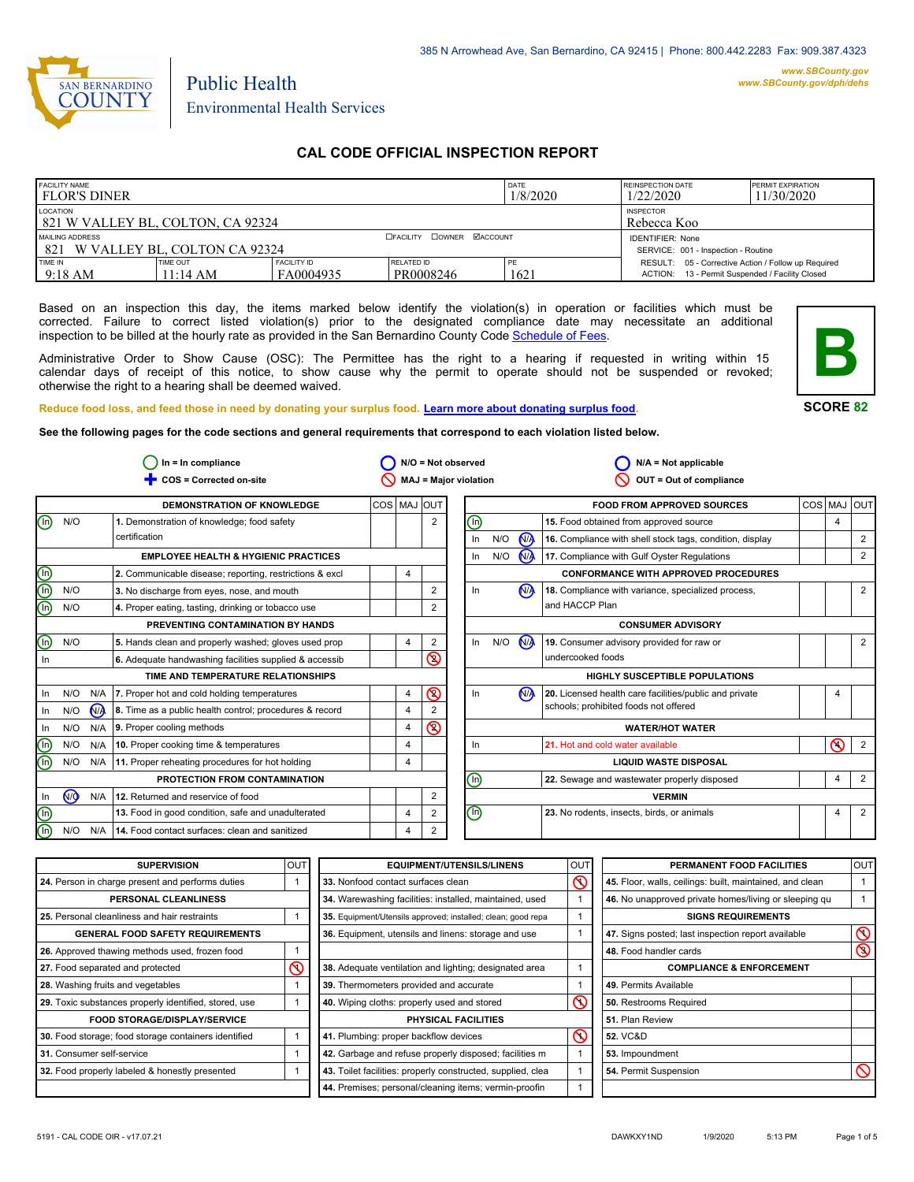

# Public Health Environmental Health Services

## **CAL CODE OFFICIAL INSPECTION REPORT**

| <b>FACILITY NAME</b><br>l flor's diner              |                                |                                 |                                                                | DATE<br>1/8/2020 | <b>REINSPECTION DATE</b><br>1/22/2020                                                                  | <b>PERMIT EXPIRATION</b><br>11/30/2020 |
|-----------------------------------------------------|--------------------------------|---------------------------------|----------------------------------------------------------------|------------------|--------------------------------------------------------------------------------------------------------|----------------------------------------|
| LOCATION<br>821 W VALLEY BL, COLTON, CA 92324       |                                | <b>INSPECTOR</b><br>Rebecca Koo |                                                                |                  |                                                                                                        |                                        |
| MAILING ADDRESS<br>821 W VALLEY BL. COLTON CA 92324 |                                | <b>COWNER MACCOUNT</b>          | <b>IDENTIFIER: None</b><br>SERVICE: 001 - Inspection - Routine |                  |                                                                                                        |                                        |
| TIME IN<br>$9:18 \text{ AM}$                        | TIME OUT<br>$11:14 \text{ AM}$ | <b>FACILITY ID</b><br>FA0004935 | RELATED ID<br>PR0008246                                        | PE<br>1621       | RESULT: 05 - Corrective Action / Follow up Required<br>ACTION: 13 - Permit Suspended / Facility Closed |                                        |

Based on an inspection this day, the items marked below identify the violation(s) in operation or facilities which must be corrected. Failure to correct listed violation(s) prior to the designated compliance date may necessitate an additional inspection to be billed at the hourly rate as provided in the San Bernardino County Code Schedule [of Fees.](http://www.amlegal.com/nxt/gateway.dll/California/sanbernardinocounty_ca/title1governmentandadministration/division6countyfees/chapter2scheduleoffees?f=templates$fn=default.htm$3.0$vid=amlegal:sanbernardinocounty_ca$anc=JD_16.0213B)

Administrative Order to Show Cause (OSC): The Permittee has the right to a hearing if requested in writing within 15 calendar days of receipt of this notice, to show cause why the permit to operate should not be suspended or revoked; otherwise the right to a hearing shall be deemed waived.



#### **SCORE 82**

**Reduce food loss, and feed those in need by donating your surplus food. Learn mor[e about donating surplus food.](http://wp.sbcounty.gov/dph/programs/ehs/food-facilities/)**

**See the following pages for the code sections and general requirements that correspond to each violation listed below.**

|             |           |                | $In = In$ compliance                                    |             |                |                | $N/O = Not observed$         |     |                      | $N/A = Not applicable$                                   |   |                |
|-------------|-----------|----------------|---------------------------------------------------------|-------------|----------------|----------------|------------------------------|-----|----------------------|----------------------------------------------------------|---|----------------|
|             |           |                | COS = Corrected on-site                                 |             |                |                | <b>MAJ = Major violation</b> |     |                      | OUT = Out of compliance                                  |   |                |
|             |           |                | <b>DEMONSTRATION OF KNOWLEDGE</b>                       | COS MAJ OUT |                |                |                              |     |                      | <b>FOOD FROM APPROVED SOURCES</b>                        |   | COS MAJ OUT    |
| ⊕           | N/O       |                | 1. Demonstration of knowledge; food safety              |             |                | $\overline{2}$ | ℗                            |     |                      | 15. Food obtained from approved source                   | 4 |                |
|             |           |                | certification                                           |             |                |                | In                           | N/O | N <sub>A</sub>       | 16. Compliance with shell stock tags, condition, display |   | 2              |
|             |           |                | <b>EMPLOYEE HEALTH &amp; HYGIENIC PRACTICES</b>         |             |                |                | $\ln$                        | N/O | $\mathbf{M}$         | 17. Compliance with Gulf Oyster Regulations              |   | 2              |
| 900         |           |                | 2. Communicable disease; reporting, restrictions & excl |             | $\overline{4}$ |                |                              |     |                      | <b>CONFORMANCE WITH APPROVED PROCEDURES</b>              |   |                |
|             | N/O       |                | 3. No discharge from eyes, nose, and mouth              |             |                | 2              | In                           |     | <b>NA</b>            | 18. Compliance with variance, specialized process,       |   | 2              |
|             | N/O       |                | 4. Proper eating, tasting, drinking or tobacco use      |             |                | 2              |                              |     |                      | and HACCP Plan                                           |   |                |
|             |           |                | PREVENTING CONTAMINATION BY HANDS                       |             |                |                |                              |     |                      | <b>CONSUMER ADVISORY</b>                                 |   |                |
| $\mathbb O$ | N/O       |                | 5. Hands clean and properly washed; gloves used prop    |             | 4              | 2              | $\ln$                        | N/O | <b>N<sub>A</sub></b> | 19. Consumer advisory provided for raw or                |   | 2              |
| In          |           |                | 6. Adequate handwashing facilities supplied & accessib  |             |                | $\circledcirc$ |                              |     |                      | undercooked foods                                        |   |                |
|             |           |                | TIME AND TEMPERATURE RELATIONSHIPS                      |             |                |                |                              |     |                      | <b>HIGHLY SUSCEPTIBLE POPULATIONS</b>                    |   |                |
| In.         | N/O       |                | N/A 7. Proper hot and cold holding temperatures         |             | $\overline{4}$ | $\circledcirc$ | $\ln$                        |     | N <sub>A</sub>       | 20. Licensed health care facilities/public and private   |   |                |
| In          | N/O       | N <sub>A</sub> | 8. Time as a public health control; procedures & record |             | $\overline{4}$ |                |                              |     |                      | schools; prohibited foods not offered                    |   |                |
| In          | N/O       |                | N/A 9. Proper cooling methods                           |             | $\overline{4}$ | $\circledcirc$ |                              |     |                      | <b>WATER/HOT WATER</b>                                   |   |                |
| $\mathbb O$ | N/O       | N/A            | 10. Proper cooking time & temperatures                  |             | $\overline{4}$ |                | In                           |     |                      | 21. Hot and cold water available                         | ര | 2              |
| ൹           | N/O       |                | N/A 11. Proper reheating procedures for hot holding     |             | 4              |                |                              |     |                      | <b>LIQUID WASTE DISPOSAL</b>                             |   |                |
|             |           |                | PROTECTION FROM CONTAMINATION                           |             |                |                | ⓪                            |     |                      | 22. Sewage and wastewater properly disposed              | 4 | $\overline{2}$ |
| In          | <b>NO</b> |                | N/A 12. Returned and reservice of food                  |             |                | 2              |                              |     |                      | <b>VERMIN</b>                                            |   |                |
| O<br>O      |           |                | 13. Food in good condition, safe and unadulterated      |             | $\overline{4}$ | 2              | ℗                            |     |                      | 23. No rodents, insects, birds, or animals               | 4 | $\overline{2}$ |
|             | N/O       | N/A            | 14. Food contact surfaces: clean and sanitized          |             | $\overline{4}$ | 2              |                              |     |                      |                                                          |   |                |

| <b>SUPERVISION</b>                                    | <b>OUT</b> | <b>EQUIPMENT/UTENSILS/LINENS</b>                             | OU <sub>1</sub> | PERMANENT FOOD FACILITIES                                | <b>OUT</b>     |
|-------------------------------------------------------|------------|--------------------------------------------------------------|-----------------|----------------------------------------------------------|----------------|
| 24. Person in charge present and performs duties      |            | 33. Nonfood contact surfaces clean                           | ৎ               | 45. Floor, walls, ceilings: built, maintained, and clean |                |
| PERSONAL CLEANLINESS                                  |            | 34. Warewashing facilities: installed, maintained, used      |                 | 46. No unapproved private homes/living or sleeping gu    |                |
| 25. Personal cleanliness and hair restraints          |            | 35. Equipment/Utensils approved; installed; clean; good repa |                 | <b>SIGNS REQUIREMENTS</b>                                |                |
| <b>GENERAL FOOD SAFETY REQUIREMENTS</b>               |            | 36. Equipment, utensils and linens: storage and use          |                 | 47. Signs posted; last inspection report available       | $\infty$       |
| 26. Approved thawing methods used, frozen food        |            |                                                              |                 | 48. Food handler cards                                   | $\circledcirc$ |
| 27. Food separated and protected                      | ⋒          | 38. Adequate ventilation and lighting; designated area       |                 | <b>COMPLIANCE &amp; ENFORCEMENT</b>                      |                |
| 28. Washing fruits and vegetables                     |            | 39. Thermometers provided and accurate                       |                 | 49. Permits Available                                    |                |
| 29. Toxic substances properly identified, stored, use |            | 40. Wiping cloths: properly used and stored                  | ᠺ               | 50. Restrooms Required                                   |                |
| <b>FOOD STORAGE/DISPLAY/SERVICE</b>                   |            | PHYSICAL FACILITIES                                          |                 | 51. Plan Review                                          |                |
| 30. Food storage; food storage containers identified  |            | 41. Plumbing: proper backflow devices                        | $\circledcirc$  | <b>52. VC&amp;D</b>                                      |                |
| 31. Consumer self-service                             |            | 42. Garbage and refuse properly disposed; facilities m       |                 | 53. Impoundment                                          |                |
| 32. Food properly labeled & honestly presented        |            | 43. Toilet facilities: properly constructed, supplied, clea  |                 | 54. Permit Suspension                                    |                |
|                                                       |            | 44. Premises; personal/cleaning items; vermin-proofin        |                 |                                                          |                |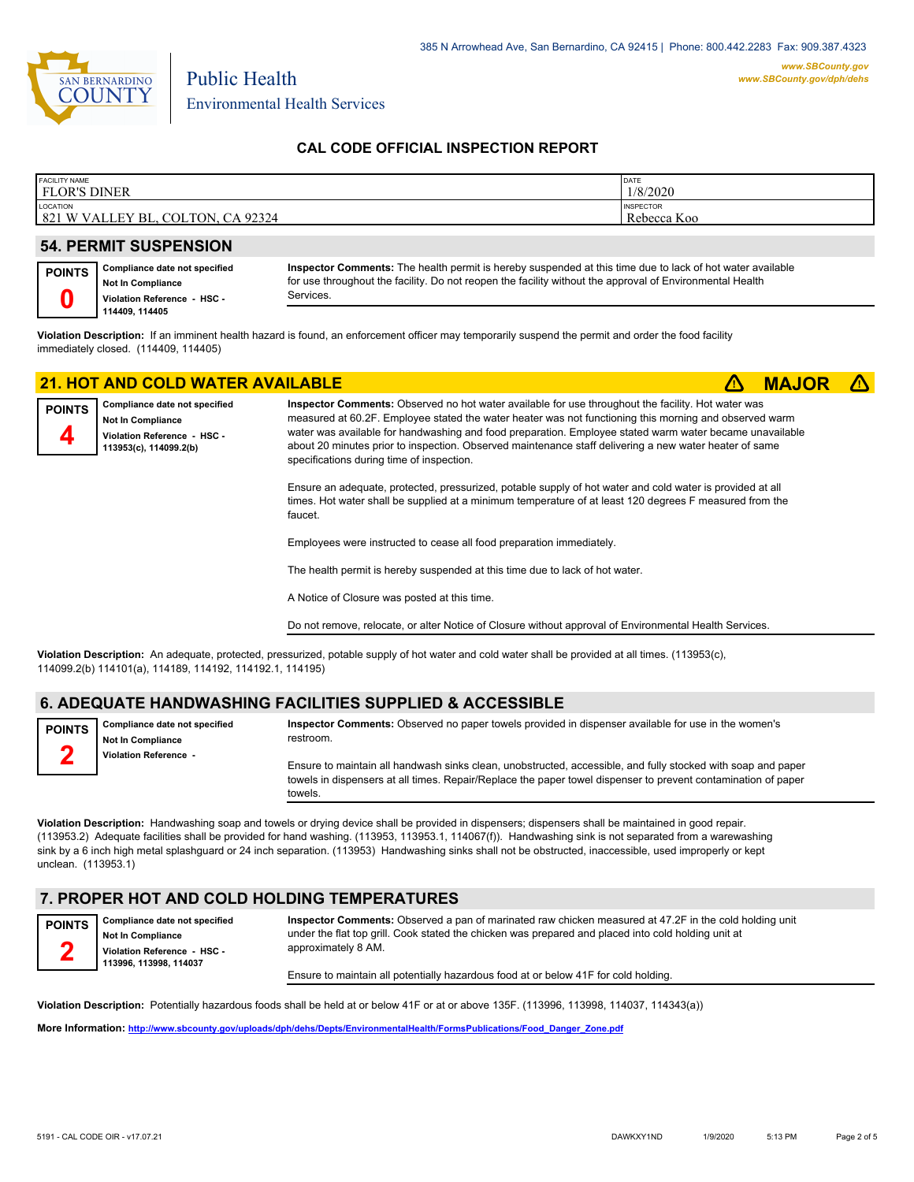

Environmental Health Services

Public Health

#### **CAL CODE OFFICIAL INSPECTION REPORT**

| <b>FACILITY NAME</b>                                               | <b>DATE</b>                     |
|--------------------------------------------------------------------|---------------------------------|
| <b>FLOR'S DINER</b>                                                | 1/8/2020                        |
| LOCATION<br>821 WV<br>92324<br><b>COLTON</b><br>VAL<br>LEY<br>' BL | <b>INSPECTOR</b><br>Rebecca Koo |

#### **54. PERMIT SUSPENSION**

#### **Compliance date not specified Not In Compliance Violation Reference - HSC - 114409, 114405 POINTS 0**

**Inspector Comments:** The health permit is hereby suspended at this time due to lack of hot water available for use throughout the facility. Do not reopen the facility without the approval of Environmental Health Services.

**Violation Description:** If an imminent health hazard is found, an enforcement officer may temporarily suspend the permit and order the food facility immediately closed. (114409, 114405)

## **21. HOT AND COLD WATER AVAILABLE** ê**! MAJOR** ê**!**



**Compliance date not specified Not In Compliance Violation Reference - HSC - 113953(c), 114099.2(b)**

**Inspector Comments:** Observed no hot water available for use throughout the facility. Hot water was measured at 60.2F. Employee stated the water heater was not functioning this morning and observed warm water was available for handwashing and food preparation. Employee stated warm water became unavailable about 20 minutes prior to inspection. Observed maintenance staff delivering a new water heater of same specifications during time of inspection.

Ensure an adequate, protected, pressurized, potable supply of hot water and cold water is provided at all times. Hot water shall be supplied at a minimum temperature of at least 120 degrees F measured from the faucet.

Employees were instructed to cease all food preparation immediately.

The health permit is hereby suspended at this time due to lack of hot water.

A Notice of Closure was posted at this time.

Do not remove, relocate, or alter Notice of Closure without approval of Environmental Health Services.

**Violation Description:** An adequate, protected, pressurized, potable supply of hot water and cold water shall be provided at all times. (113953(c), 114099.2(b) 114101(a), 114189, 114192, 114192.1, 114195)

#### **6. ADEQUATE HANDWASHING FACILITIES SUPPLIED & ACCESSIBLE**

**Compliance date not specified Not In Compliance Violation Reference - POINTS 2**

**Inspector Comments:** Observed no paper towels provided in dispenser available for use in the women's restroom. Ensure to maintain all handwash sinks clean, unobstructed, accessible, and fully stocked with soap and paper

towels in dispensers at all times. Repair/Replace the paper towel dispenser to prevent contamination of paper towels.

**Violation Description:** Handwashing soap and towels or drying device shall be provided in dispensers; dispensers shall be maintained in good repair. (113953.2) Adequate facilities shall be provided for hand washing. (113953, 113953.1, 114067(f)). Handwashing sink is not separated from a warewashing sink by a 6 inch high metal splashguard or 24 inch separation. (113953) Handwashing sinks shall not be obstructed, inaccessible, used improperly or kept unclean. (113953.1)

#### **7. PROPER HOT AND COLD HOLDING TEMPERATURES**

**Compliance date not specified Not In Compliance Violation Reference - HSC - 113996, 113998, 114037 POINTS 2 Inspector Comments:** Observed a pan of marinated raw chicken measured at 47.2F in the cold holding unit under the flat top grill. Cook stated the chicken was prepared and placed into cold holding unit at approximately 8 AM.

Ensure to maintain all potentially hazardous food at or below 41F for cold holding.

**Violation Description:** Potentially hazardous foods shall be held at or below 41F or at or above 135F. (113996, 113998, 114037, 114343(a))

**More Information: [http://www.sbcounty.gov/uploads/dph/dehs/Depts/EnvironmentalHealth/FormsPublications/Food\\_Danger\\_Zone.pdf](http://www.sbcounty.gov/uploads/dph/dehs/Depts/EnvironmentalHealth/FormsPublications/Food_Danger_Zone.pdf)**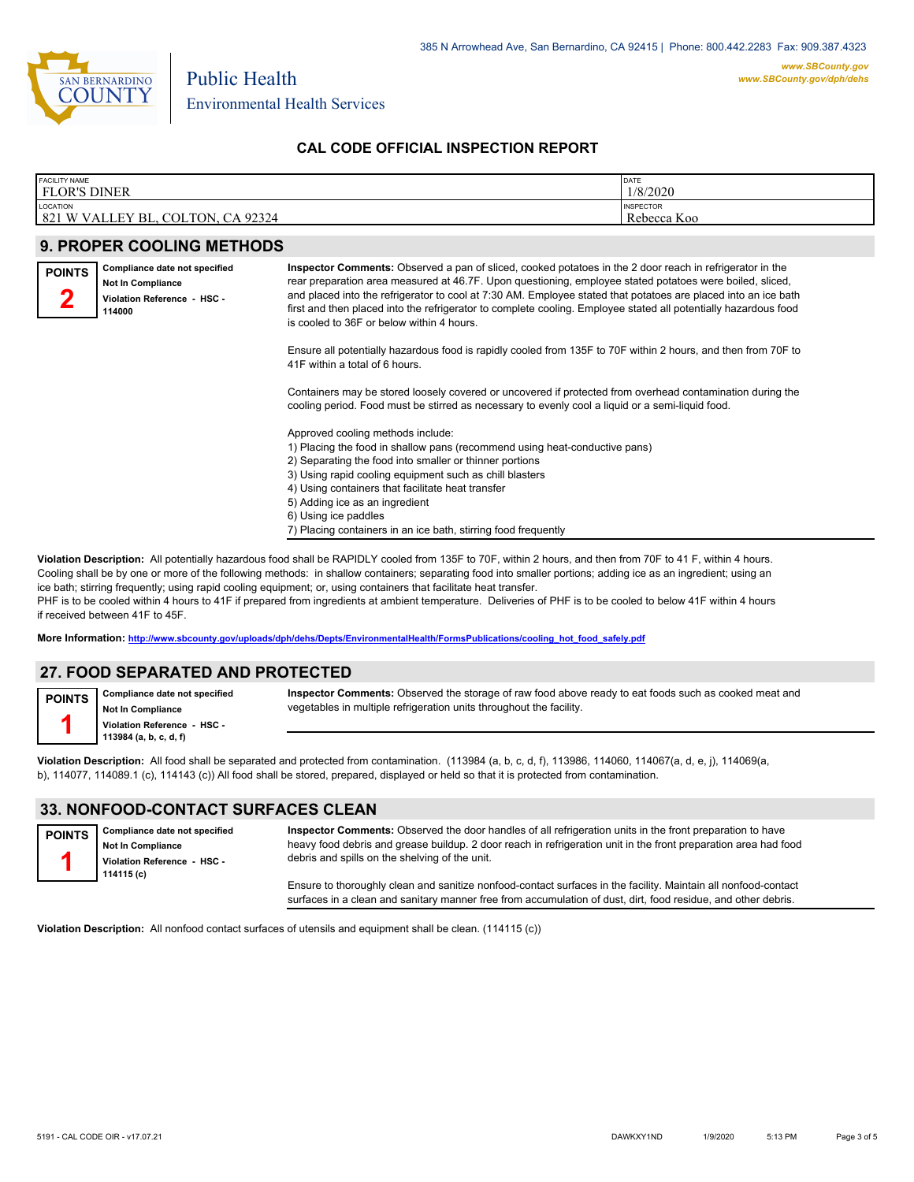

Environmental Health Services

Public Health

### **CAL CODE OFFICIAL INSPECTION REPORT**

| <b>FACILITY NAME</b>                                          | DATE                            |
|---------------------------------------------------------------|---------------------------------|
| <b>FLOR'S DINER</b>                                           | 1/8/2020                        |
| LOCATION<br>821 W VALLEY<br>92324<br>. CA<br>COLTON.<br>' BL. | <b>INSPECTOR</b><br>Rebecca Koo |

|               | <b>9. PROPER COOLING METHODS</b>                                                            |                                                                                                                                                                                                                                                                                                                                                                                                                                                                                                        |
|---------------|---------------------------------------------------------------------------------------------|--------------------------------------------------------------------------------------------------------------------------------------------------------------------------------------------------------------------------------------------------------------------------------------------------------------------------------------------------------------------------------------------------------------------------------------------------------------------------------------------------------|
| <b>POINTS</b> | Compliance date not specified<br>Not In Compliance<br>Violation Reference - HSC -<br>114000 | Inspector Comments: Observed a pan of sliced, cooked potatoes in the 2 door reach in refrigerator in the<br>rear preparation area measured at 46.7F. Upon questioning, employee stated potatoes were boiled, sliced,<br>and placed into the refrigerator to cool at 7:30 AM. Employee stated that potatoes are placed into an ice bath<br>first and then placed into the refrigerator to complete cooling. Employee stated all potentially hazardous food<br>is cooled to 36F or below within 4 hours. |
|               |                                                                                             | Ensure all potentially hazardous food is rapidly cooled from 135F to 70F within 2 hours, and then from 70F to<br>41F within a total of 6 hours.                                                                                                                                                                                                                                                                                                                                                        |
|               |                                                                                             | Containers may be stored loosely covered or uncovered if protected from overhead contamination during the<br>cooling period. Food must be stirred as necessary to evenly cool a liquid or a semi-liquid food.                                                                                                                                                                                                                                                                                          |
|               |                                                                                             | Approved cooling methods include:<br>1) Placing the food in shallow pans (recommend using heat-conductive pans)<br>2) Separating the food into smaller or thinner portions<br>3) Using rapid cooling equipment such as chill blasters<br>4) Using containers that facilitate heat transfer<br>5) Adding ice as an ingredient<br>6) Using ice paddles<br>7) Placing containers in an ice bath, stirring food frequently                                                                                 |

**Violation Description:** All potentially hazardous food shall be RAPIDLY cooled from 135F to 70F, within 2 hours, and then from 70F to 41 F, within 4 hours. Cooling shall be by one or more of the following methods: in shallow containers; separating food into smaller portions; adding ice as an ingredient; using an ice bath; stirring frequently; using rapid cooling equipment; or, using containers that facilitate heat transfer. PHF is to be cooled within 4 hours to 41F if prepared from ingredients at ambient temperature. Deliveries of PHF is to be cooled to below 41F within 4 hours if received between 41F to 45F.

**More Information: [http://www.sbcounty.gov/uploads/dph/dehs/Depts/EnvironmentalHealth/FormsPublications/cooling\\_hot\\_food\\_safely.pdf](http://www.sbcounty.gov/uploads/dph/dehs/Depts/EnvironmentalHealth/FormsPublications/cooling_hot_food_safely.pdf)**

## **27. FOOD SEPARATED AND PROTECTED**

**Compliance date not specified Not In Compliance POINTS**

**1**

**Violation Reference - HSC - 113984 (a, b, c, d, f)**

**Inspector Comments:** Observed the storage of raw food above ready to eat foods such as cooked meat and vegetables in multiple refrigeration units throughout the facility.

**Violation Description:** All food shall be separated and protected from contamination. (113984 (a, b, c, d, f), 113986, 114060, 114067(a, d, e, j), 114069(a, b), 114077, 114089.1 (c), 114143 (c)) All food shall be stored, prepared, displayed or held so that it is protected from contamination.

#### **33. NONFOOD-CONTACT SURFACES CLEAN**

| <b>POINTS</b> | Compliance date not specified<br><b>Not In Compliance</b><br>Violation Reference HSC<br>114115 (c) | Inspector Comments: Observed the door handles of all refrigeration units in the front preparation to have<br>heavy food debris and grease buildup. 2 door reach in refrigeration unit in the front preparation area had food<br>debris and spills on the shelving of the unit. |
|---------------|----------------------------------------------------------------------------------------------------|--------------------------------------------------------------------------------------------------------------------------------------------------------------------------------------------------------------------------------------------------------------------------------|
|               |                                                                                                    | Ensure to thoroughly clean and sanitize nonfood-contact surfaces in the facility. Maintain all nonfood-contact<br>surfaces in a clean and sanitary manner free from accumulation of dust, dirt, food residue, and other debris.                                                |

**Violation Description:** All nonfood contact surfaces of utensils and equipment shall be clean. (114115 (c))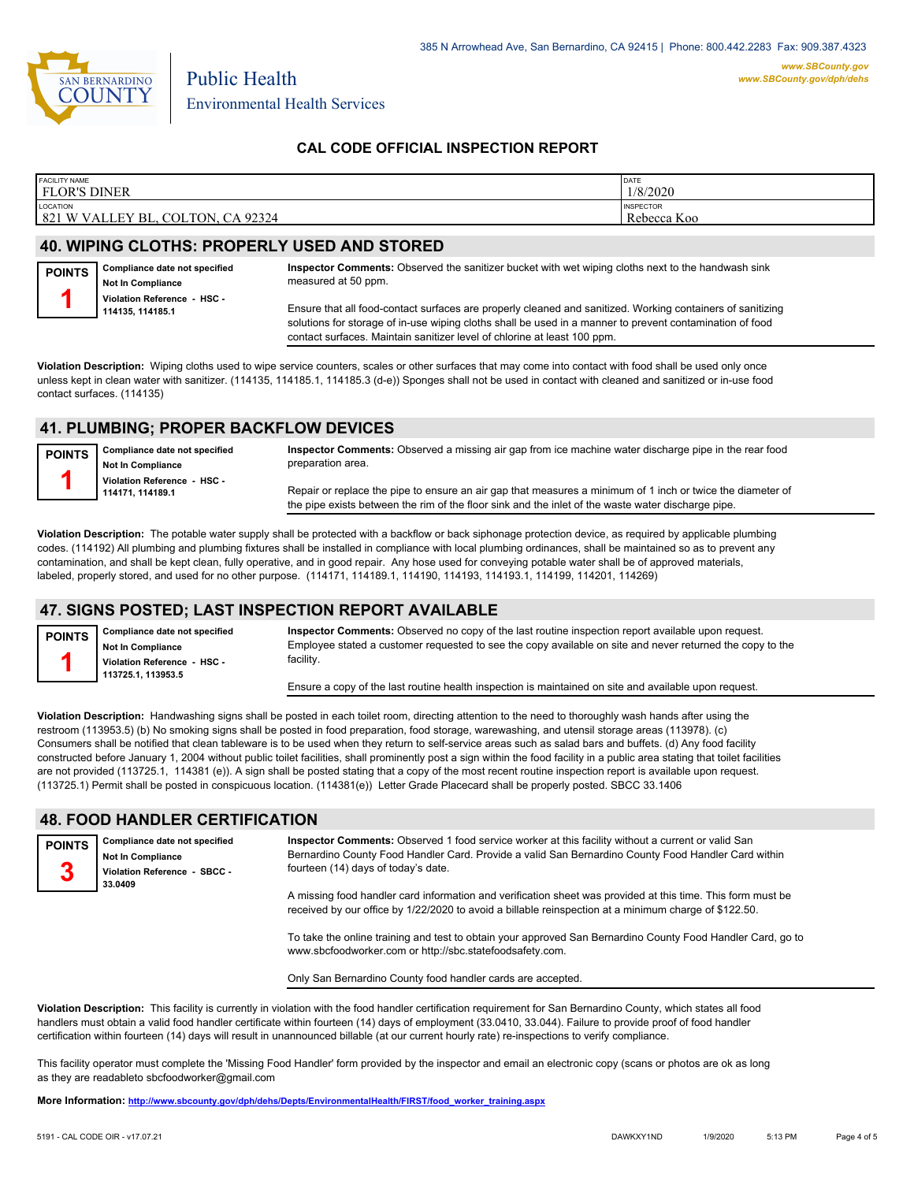

Environmental Health Services

### **CAL CODE OFFICIAL INSPECTION REPORT**

| <b>FACILITY NAME</b>                                                                 | <b>IDATE</b>                    |
|--------------------------------------------------------------------------------------|---------------------------------|
| FLOR'S DINER                                                                         | 1/8/2020                        |
| LOCATION<br>CA 92324<br>COLTON.<br>'VALLEY BL.<br>821<br>$1 \mathrm{W}$ <sup>+</sup> | <b>INSPECTOR</b><br>Rebecca Koo |

#### **40. WIPING CLOTHS: PROPERLY USED AND STORED**

Public Health

**Compliance date not specified Not In Compliance Violation Reference - HSC - 114135, 114185.1 POINTS 1 Inspector Comments:** Observed the sanitizer bucket with wet wiping cloths next to the handwash sink measured at 50 ppm. Ensure that all food-contact surfaces are properly cleaned and sanitized. Working containers of sanitizing solutions for storage of in-use wiping cloths shall be used in a manner to prevent contamination of food contact surfaces. Maintain sanitizer level of chlorine at least 100 ppm.

**Violation Description:** Wiping cloths used to wipe service counters, scales or other surfaces that may come into contact with food shall be used only once unless kept in clean water with sanitizer. (114135, 114185.1, 114185.3 (d-e)) Sponges shall not be used in contact with cleaned and sanitized or in-use food contact surfaces. (114135)

#### **41. PLUMBING; PROPER BACKFLOW DEVICES**

**Compliance date not specified Not In Compliance Violation Reference - HSC - 114171, 114189.1 POINTS 1 Inspector Comments:** Observed a missing air gap from ice machine water discharge pipe in the rear food preparation area. Repair or replace the pipe to ensure an air gap that measures a minimum of 1 inch or twice the diameter of the pipe exists between the rim of the floor sink and the inlet of the waste water discharge pipe.

**Violation Description:** The potable water supply shall be protected with a backflow or back siphonage protection device, as required by applicable plumbing codes. (114192) All plumbing and plumbing fixtures shall be installed in compliance with local plumbing ordinances, shall be maintained so as to prevent any contamination, and shall be kept clean, fully operative, and in good repair. Any hose used for conveying potable water shall be of approved materials, labeled, properly stored, and used for no other purpose. (114171, 114189.1, 114190, 114193, 114193.1, 114199, 114201, 114269)

#### **47. SIGNS POSTED; LAST INSPECTION REPORT AVAILABLE**

**Compliance date not specified Not In Compliance Violation Reference - HSC - 113725.1, 113953.5 POINTS 1**

**Inspector Comments:** Observed no copy of the last routine inspection report available upon request. Employee stated a customer requested to see the copy available on site and never returned the copy to the facility.

Ensure a copy of the last routine health inspection is maintained on site and available upon request.

**Violation Description:** Handwashing signs shall be posted in each toilet room, directing attention to the need to thoroughly wash hands after using the restroom (113953.5) (b) No smoking signs shall be posted in food preparation, food storage, warewashing, and utensil storage areas (113978). (c) Consumers shall be notified that clean tableware is to be used when they return to self-service areas such as salad bars and buffets. (d) Any food facility constructed before January 1, 2004 without public toilet facilities, shall prominently post a sign within the food facility in a public area stating that toilet facilities are not provided (113725.1, 114381 (e)). A sign shall be posted stating that a copy of the most recent routine inspection report is available upon request. (113725.1) Permit shall be posted in conspicuous location. (114381(e)) Letter Grade Placecard shall be properly posted. SBCC 33.1406

#### **48. FOOD HANDLER CERTIFICATION**

**Compliance date not specified Not In Compliance Violation Reference - SBCC - 33.0409 POINTS 3 Inspector Comments:** Observed 1 food service worker at this facility without a current or valid San Bernardino County Food Handler Card. Provide a valid San Bernardino County Food Handler Card within fourteen (14) days of today's date. A missing food handler card information and verification sheet was provided at this time. This form must be received by our office by 1/22/2020 to avoid a billable reinspection at a minimum charge of \$122.50. To take the online training and test to obtain your approved San Bernardino County Food Handler Card, go to www.sbcfoodworker.com or http://sbc.statefoodsafety.com.

Only San Bernardino County food handler cards are accepted.

**Violation Description:** This facility is currently in violation with the food handler certification requirement for San Bernardino County, which states all food handlers must obtain a valid food handler certificate within fourteen (14) days of employment (33.0410, 33.044). Failure to provide proof of food handler certification within fourteen (14) days will result in unannounced billable (at our current hourly rate) re-inspections to verify compliance.

This facility operator must complete the 'Missing Food Handler' form provided by the inspector and email an electronic copy (scans or photos are ok as long as they are readableto sbcfoodworker@gmail.com

**More Information: [http://www.sbcounty.gov/dph/dehs/Depts/EnvironmentalHealth/FIRST/food\\_worker\\_training.aspx](http://www.sbcounty.gov/dph/dehs/Depts/EnvironmentalHealth/FIRST/food_worker_training.aspx)**